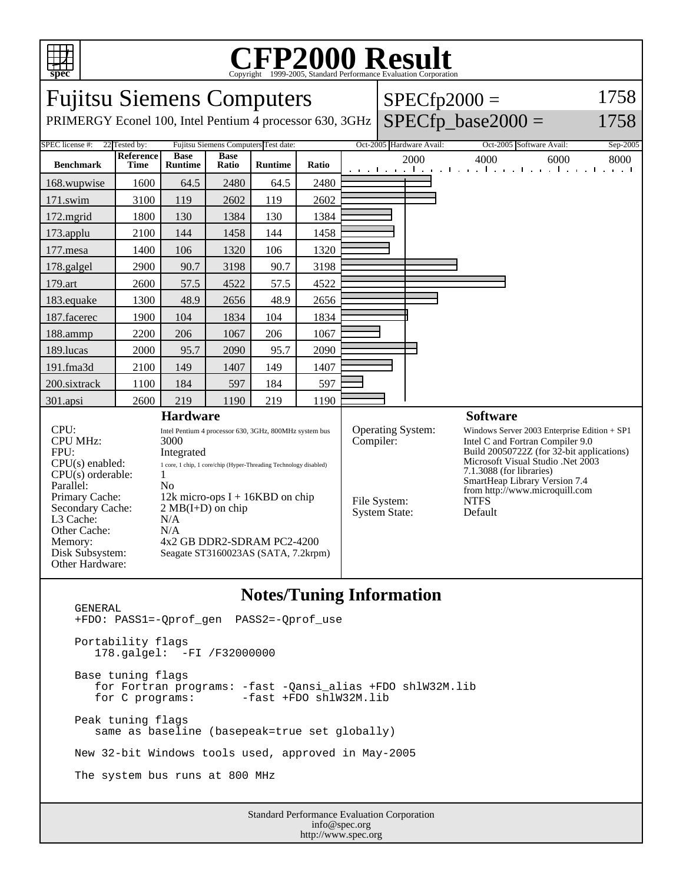

## C<sub>opyright</sub> ©1999-2005, Standard Performance Evaluation Corporation

| <b>Fujitsu Siemens Computers</b>                                         |                                                                                          |                                                                   |                      |         |       |                                       |  |                                                                                                                                                                                                                                 | $SPECfp2000 =$                                                    | 1758     |
|--------------------------------------------------------------------------|------------------------------------------------------------------------------------------|-------------------------------------------------------------------|----------------------|---------|-------|---------------------------------------|--|---------------------------------------------------------------------------------------------------------------------------------------------------------------------------------------------------------------------------------|-------------------------------------------------------------------|----------|
| PRIMERGY Econel 100, Intel Pentium 4 processor 630, 3GHz                 |                                                                                          |                                                                   |                      |         |       |                                       |  |                                                                                                                                                                                                                                 | $SPECfp\_base2000 =$                                              | 1758     |
| SPEC license #:<br>22 Tested by:<br>Fujitsu Siemens Computers Test date: |                                                                                          |                                                                   |                      |         |       |                                       |  | Oct-2005 Hardware Avail:                                                                                                                                                                                                        | Oct-2005 Software Avail:                                          | Sep-2005 |
| <b>Benchmark</b>                                                         | Reference<br>Time                                                                        | <b>Base</b><br><b>Runtime</b>                                     | <b>Base</b><br>Ratio | Runtime | Ratio |                                       |  | 2000                                                                                                                                                                                                                            | 4000<br>6000<br>and the media media media media media media media | 8000     |
| 168.wupwise                                                              | 1600                                                                                     | 64.5                                                              | 2480                 | 64.5    | 2480  |                                       |  |                                                                                                                                                                                                                                 |                                                                   |          |
| 171.swim                                                                 | 3100                                                                                     | 119                                                               | 2602                 | 119     | 2602  |                                       |  |                                                                                                                                                                                                                                 |                                                                   |          |
| 172.mgrid                                                                | 1800                                                                                     | 130                                                               | 1384                 | 130     | 1384  |                                       |  |                                                                                                                                                                                                                                 |                                                                   |          |
| 173.applu                                                                | 2100                                                                                     | 144                                                               | 1458                 | 144     | 1458  |                                       |  |                                                                                                                                                                                                                                 |                                                                   |          |
| 177.mesa                                                                 | 1400                                                                                     | 106                                                               | 1320                 | 106     | 1320  |                                       |  |                                                                                                                                                                                                                                 |                                                                   |          |
| 178.galgel                                                               | 2900                                                                                     | 90.7                                                              | 3198                 | 90.7    | 3198  |                                       |  |                                                                                                                                                                                                                                 |                                                                   |          |
| 179.art                                                                  | 2600                                                                                     | 57.5                                                              | 4522                 | 57.5    | 4522  |                                       |  |                                                                                                                                                                                                                                 |                                                                   |          |
| 183.equake                                                               | 1300                                                                                     | 48.9                                                              | 2656                 | 48.9    | 2656  |                                       |  |                                                                                                                                                                                                                                 |                                                                   |          |
| 187.facerec                                                              | 1900                                                                                     | 104                                                               | 1834                 | 104     | 1834  |                                       |  |                                                                                                                                                                                                                                 |                                                                   |          |
| 188.ammp                                                                 | 2200                                                                                     | 206                                                               | 1067                 | 206     | 1067  |                                       |  |                                                                                                                                                                                                                                 |                                                                   |          |
| 189.lucas                                                                | 2000                                                                                     | 95.7                                                              | 2090                 | 95.7    | 2090  |                                       |  |                                                                                                                                                                                                                                 |                                                                   |          |
| 191.fma3d                                                                | 2100                                                                                     | 149                                                               | 1407                 | 149     | 1407  |                                       |  |                                                                                                                                                                                                                                 |                                                                   |          |
| 200.sixtrack                                                             | 1100                                                                                     | 184                                                               | 597                  | 184     | 597   |                                       |  |                                                                                                                                                                                                                                 |                                                                   |          |
| 301.apsi                                                                 | 2600                                                                                     | 219                                                               | 1190                 | 219     | 1190  |                                       |  |                                                                                                                                                                                                                                 |                                                                   |          |
| <b>Hardware</b>                                                          |                                                                                          |                                                                   |                      |         |       |                                       |  |                                                                                                                                                                                                                                 | <b>Software</b>                                                   |          |
| CPU:<br><b>CPU MHz:</b><br>FPU:                                          | Intel Pentium 4 processor 630, 3GHz, 800MHz system bus<br>3000<br>Integrated             |                                                                   |                      |         |       | <b>Operating System:</b><br>Compiler: |  | Windows Server 2003 Enterprise Edition + SP1<br>Intel C and Fortran Compiler 9.0<br>Build 20050722Z (for 32-bit applications)<br>Microsoft Visual Studio .Net 2003<br>7.1.3088 (for libraries)<br>SmartHeap Library Version 7.4 |                                                                   |          |
| $CPU(s)$ enabled:<br>$CPU(s)$ orderable:<br>Parallel:                    | 1 core, 1 chip, 1 core/chip (Hyper-Threading Technology disabled)<br>1<br>N <sub>o</sub> |                                                                   |                      |         |       |                                       |  |                                                                                                                                                                                                                                 |                                                                   |          |
| Primary Cache:                                                           | 12k micro-ops $I + 16KBD$ on chip                                                        |                                                                   |                      |         |       | File System:<br><b>System State:</b>  |  | from http://www.microquill.com<br><b>NTFS</b>                                                                                                                                                                                   |                                                                   |          |
| Secondary Cache:<br>L3 Cache:                                            | $2 MB(I+D)$ on chip<br>N/A                                                               |                                                                   |                      |         |       |                                       |  | Default                                                                                                                                                                                                                         |                                                                   |          |
| Other Cache:                                                             | N/A                                                                                      |                                                                   |                      |         |       |                                       |  |                                                                                                                                                                                                                                 |                                                                   |          |
| Memory:<br>Disk Subsystem:                                               |                                                                                          | 4x2 GB DDR2-SDRAM PC2-4200<br>Seagate ST3160023AS (SATA, 7.2krpm) |                      |         |       |                                       |  |                                                                                                                                                                                                                                 |                                                                   |          |
| Other Hardware:                                                          |                                                                                          |                                                                   |                      |         |       |                                       |  |                                                                                                                                                                                                                                 |                                                                   |          |
| Notes/Tuning Information                                                 |                                                                                          |                                                                   |                      |         |       |                                       |  |                                                                                                                                                                                                                                 |                                                                   |          |

## **Notes/Tuning Information**

 GENERAL +FDO: PASS1=-Qprof\_gen PASS2=-Qprof\_use Portability flags 178.galgel: -FI /F32000000 Base tuning flags for Fortran programs: -fast -Qansi\_alias +FDO shlW32M.lib  $-fast$  +FDO shlW32M.lib Peak tuning flags same as baseline (basepeak=true set globally) New 32-bit Windows tools used, approved in May-2005 The system bus runs at 800 MHz

Standard Performance Evaluation Corporation info@spec.org http://www.spec.org